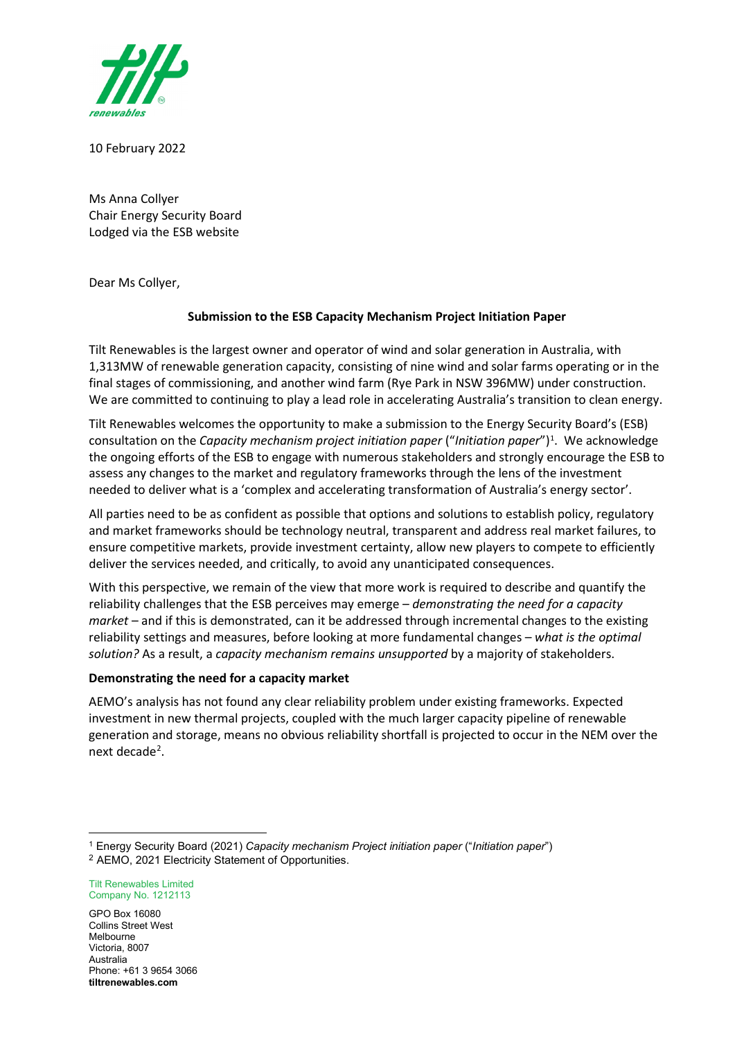

10 February 2022

Ms Anna Collyer Chair Energy Security Board Lodged via the ESB website

Dear Ms Collyer,

## **Submission to the ESB Capacity Mechanism Project Initiation Paper**

Tilt Renewables is the largest owner and operator of wind and solar generation in Australia, with 1,313MW of renewable generation capacity, consisting of nine wind and solar farms operating or in the final stages of commissioning, and another wind farm (Rye Park in NSW 396MW) under construction. We are committed to continuing to play a lead role in accelerating Australia's transition to clean energy.

Tilt Renewables welcomes the opportunity to make a submission to the Energy Security Board's (ESB) consultation on the *Capacity mechanism project initiation paper* ("Initiation paper")<sup>[1](#page-0-0)</sup>. We acknowledge the ongoing efforts of the ESB to engage with numerous stakeholders and strongly encourage the ESB to assess any changes to the market and regulatory frameworks through the lens of the investment needed to deliver what is a 'complex and accelerating transformation of Australia's energy sector'.

All parties need to be as confident as possible that options and solutions to establish policy, regulatory and market frameworks should be technology neutral, transparent and address real market failures, to ensure competitive markets, provide investment certainty, allow new players to compete to efficiently deliver the services needed, and critically, to avoid any unanticipated consequences.

With this perspective, we remain of the view that more work is required to describe and quantify the reliability challenges that the ESB perceives may emerge – *demonstrating the need for a capacity market* – and if this is demonstrated, can it be addressed through incremental changes to the existing reliability settings and measures, before looking at more fundamental changes – *what is the optimal solution?* As a result, a *capacity mechanism remains unsupported* by a majority of stakeholders.

## **Demonstrating the need for a capacity market**

AEMO's analysis has not found any clear reliability problem under existing frameworks. Expected investment in new thermal projects, coupled with the much larger capacity pipeline of renewable generation and storage, means no obvious reliability shortfall is projected to occur in the NEM over the next decade<sup>[2](#page-0-1)</sup>.

Tilt Renewables Limited Company No. 1212113

GPO Box 16080 Collins Street West Melbourne Victoria, 8007 Australia Phone: +61 3 9654 3066 **tiltrenewables.com**

<span id="page-0-1"></span><span id="page-0-0"></span><sup>1</sup> Energy Security Board (2021) *Capacity mechanism Project initiation paper* ("*Initiation paper*") <sup>2</sup> AEMO, 2021 Electricity Statement of Opportunities.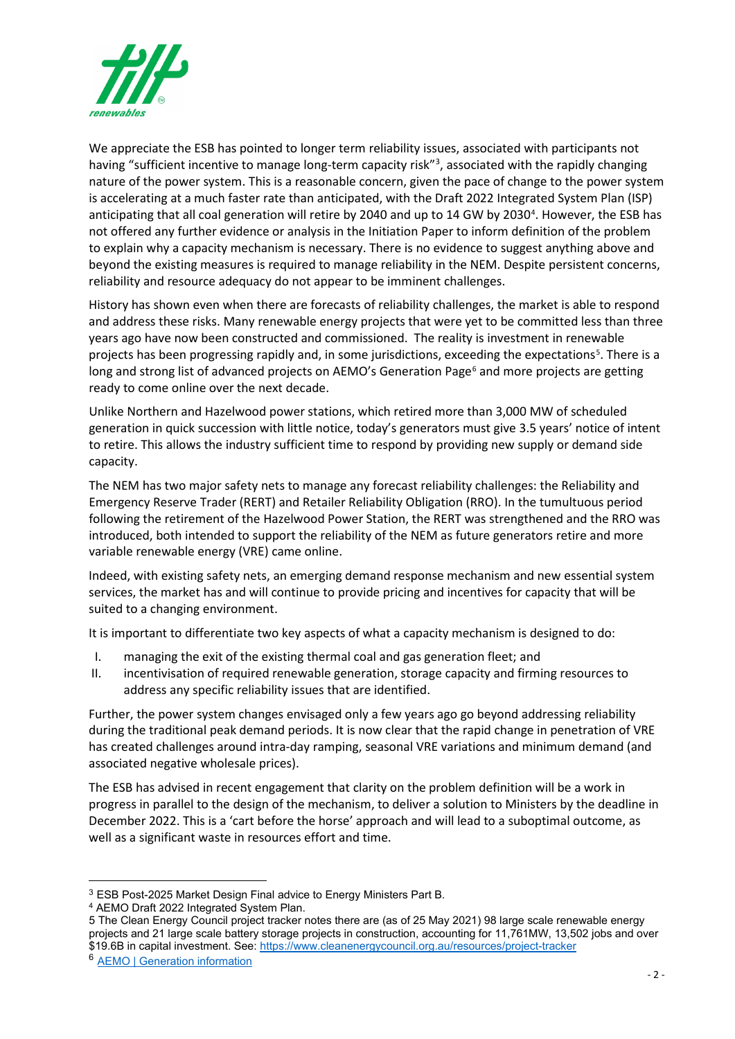

We appreciate the ESB has pointed to longer term reliability issues, associated with participants not having "sufficient incentive to manage long-term capacity risk"<sup>[3](#page-1-0)</sup>, associated with the rapidly changing nature of the power system. This is a reasonable concern, given the pace of change to the power system is accelerating at a much faster rate than anticipated, with the Draft 2022 Integrated System Plan (ISP) anticipating that all coal generation will retire by 2[04](#page-1-1)0 and up to 14 GW by 2030<sup>4</sup>. However, the ESB has not offered any further evidence or analysis in the Initiation Paper to inform definition of the problem to explain why a capacity mechanism is necessary. There is no evidence to suggest anything above and beyond the existing measures is required to manage reliability in the NEM. Despite persistent concerns, reliability and resource adequacy do not appear to be imminent challenges.

History has shown even when there are forecasts of reliability challenges, the market is able to respond and address these risks. Many renewable energy projects that were yet to be committed less than three years ago have now been constructed and commissioned. The reality is investment in renewable projects has been progressing rapidly and, in some jurisdictions, exceeding the expectations<sup>[5](#page-1-2)</sup>. There is a long and strong list of advanced projects on AEMO's Generation Page<sup>[6](#page-1-3)</sup> and more projects are getting ready to come online over the next decade.

Unlike Northern and Hazelwood power stations, which retired more than 3,000 MW of scheduled generation in quick succession with little notice, today's generators must give 3.5 years' notice of intent to retire. This allows the industry sufficient time to respond by providing new supply or demand side capacity.

The NEM has two major safety nets to manage any forecast reliability challenges: the Reliability and Emergency Reserve Trader (RERT) and Retailer Reliability Obligation (RRO). In the tumultuous period following the retirement of the Hazelwood Power Station, the RERT was strengthened and the RRO was introduced, both intended to support the reliability of the NEM as future generators retire and more variable renewable energy (VRE) came online.

Indeed, with existing safety nets, an emerging demand response mechanism and new essential system services, the market has and will continue to provide pricing and incentives for capacity that will be suited to a changing environment.

It is important to differentiate two key aspects of what a capacity mechanism is designed to do:

- I. managing the exit of the existing thermal coal and gas generation fleet; and
- II. incentivisation of required renewable generation, storage capacity and firming resources to address any specific reliability issues that are identified.

Further, the power system changes envisaged only a few years ago go beyond addressing reliability during the traditional peak demand periods. It is now clear that the rapid change in penetration of VRE has created challenges around intra-day ramping, seasonal VRE variations and minimum demand (and associated negative wholesale prices).

The ESB has advised in recent engagement that clarity on the problem definition will be a work in progress in parallel to the design of the mechanism, to deliver a solution to Ministers by the deadline in December 2022. This is a 'cart before the horse' approach and will lead to a suboptimal outcome, as well as a significant waste in resources effort and time.

<span id="page-1-0"></span><sup>3</sup> ESB Post-2025 Market Design Final advice to Energy Ministers Part B.

<span id="page-1-1"></span><sup>4</sup> AEMO Draft 2022 Integrated System Plan.

<span id="page-1-2"></span><sup>5</sup> The Clean Energy Council project tracker notes there are (as of 25 May 2021) 98 large scale renewable energy projects and 21 large scale battery storage projects in construction, accounting for 11,761MW, 13,502 jobs and over \$19.6B in capital investment. See[: https://www.cleanenergycouncil.org.au/resources/project-tracker](https://www.cleanenergycouncil.org.au/resources/project-tracker)

<span id="page-1-3"></span><sup>6</sup> [AEMO | Generation information](https://www.aemo.com.au/energy-systems/electricity/national-electricity-market-nem/nem-forecasting-and-planning/forecasting-and-planning-data/generation-information)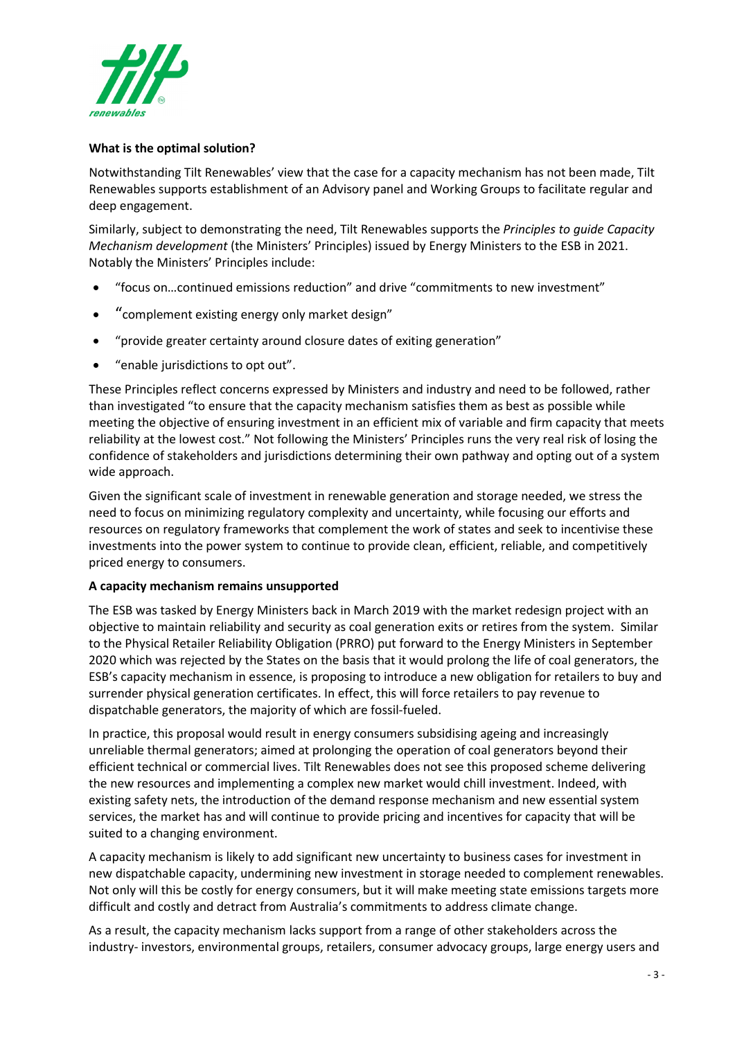

## **What is the optimal solution?**

Notwithstanding Tilt Renewables' view that the case for a capacity mechanism has not been made, Tilt Renewables supports establishment of an Advisory panel and Working Groups to facilitate regular and deep engagement.

Similarly, subject to demonstrating the need, Tilt Renewables supports the *Principles to guide Capacity Mechanism development* (the Ministers' Principles) issued by Energy Ministers to the ESB in 2021. Notably the Ministers' Principles include:

- "focus on…continued emissions reduction" and drive "commitments to new investment"
- "complement existing energy only market design"
- "provide greater certainty around closure dates of exiting generation"
- "enable jurisdictions to opt out".

These Principles reflect concerns expressed by Ministers and industry and need to be followed, rather than investigated "to ensure that the capacity mechanism satisfies them as best as possible while meeting the objective of ensuring investment in an efficient mix of variable and firm capacity that meets reliability at the lowest cost." Not following the Ministers' Principles runs the very real risk of losing the confidence of stakeholders and jurisdictions determining their own pathway and opting out of a system wide approach.

Given the significant scale of investment in renewable generation and storage needed, we stress the need to focus on minimizing regulatory complexity and uncertainty, while focusing our efforts and resources on regulatory frameworks that complement the work of states and seek to incentivise these investments into the power system to continue to provide clean, efficient, reliable, and competitively priced energy to consumers.

## **A capacity mechanism remains unsupported**

The ESB was tasked by Energy Ministers back in March 2019 with the market redesign project with an objective to maintain reliability and security as coal generation exits or retires from the system. Similar to the Physical Retailer Reliability Obligation (PRRO) put forward to the Energy Ministers in September 2020 which was rejected by the States on the basis that it would prolong the life of coal generators, the ESB's capacity mechanism in essence, is proposing to introduce a new obligation for retailers to buy and surrender physical generation certificates. In effect, this will force retailers to pay revenue to dispatchable generators, the majority of which are fossil-fueled.

In practice, this proposal would result in energy consumers subsidising ageing and increasingly unreliable thermal generators; aimed at prolonging the operation of coal generators beyond their efficient technical or commercial lives. Tilt Renewables does not see this proposed scheme delivering the new resources and implementing a complex new market would chill investment. Indeed, with existing safety nets, the introduction of the demand response mechanism and new essential system services, the market has and will continue to provide pricing and incentives for capacity that will be suited to a changing environment.

A capacity mechanism is likely to add significant new uncertainty to business cases for investment in new dispatchable capacity, undermining new investment in storage needed to complement renewables. Not only will this be costly for energy consumers, but it will make meeting state emissions targets more difficult and costly and detract from Australia's commitments to address climate change.

As a result, the capacity mechanism lacks support from a range of other stakeholders across the industry- investors, environmental groups, retailers, consumer advocacy groups, large energy users and